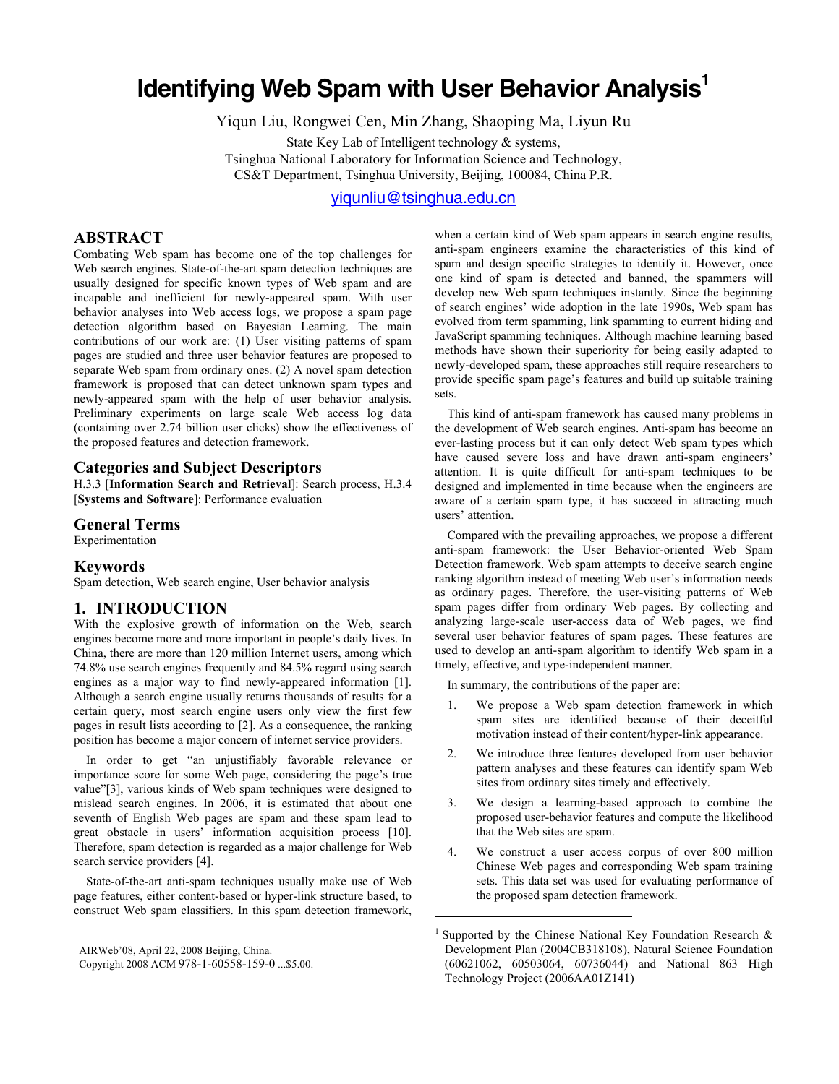# **Identifying Web Spam with User Behavior Analysis**<sup>1</sup>

Yiqun Liu, Rongwei Cen, Min Zhang, Shaoping Ma, Liyun Ru

State Key Lab of Intelligent technology & systems, Tsinghua National Laboratory for Information Science and Technology, CS&T Department, Tsinghua University, Beijing, 100084, China P.R.

[yiqunliu@tsinghua.edu.cn](mailto:yiqunliu@tsinghua.edu.cn)

 $\overline{\phantom{a}}$ 

# **ABSTRACT**

Combating Web spam has become one of the top challenges for Web search engines. State-of-the-art spam detection techniques are usually designed for specific known types of Web spam and are incapable and inefficient for newly-appeared spam. With user behavior analyses into Web access logs, we propose a spam page detection algorithm based on Bayesian Learning. The main contributions of our work are: (1) User visiting patterns of spam pages are studied and three user behavior features are proposed to separate Web spam from ordinary ones. (2) A novel spam detection framework is proposed that can detect unknown spam types and newly-appeared spam with the help of user behavior analysis. Preliminary experiments on large scale Web access log data (containing over 2.74 billion user clicks) show the effectiveness of the proposed features and detection framework.

# **Categories and Subject Descriptors**

H.3.3 [**Information Search and Retrieval**]: Search process, H.3.4 [**Systems and Software**]: Performance evaluation

## **General Terms**

Experimentation

#### **Keywords**

Spam detection, Web search engine, User behavior analysis

# **1. INTRODUCTION**

With the explosive growth of information on the Web, search engines become more and more important in people's daily lives. In China, there are more than 120 million Internet users, among which 74.8% use search engines frequently and 84.5% regard using search engines as a major way to find newly-appeared information [\[1\]](#page-6-0). Although a search engine usually returns thousands of results for a certain query, most search engine users only view the first few pages in result lists according to [\[2\]](#page-6-1). As a consequence, the ranking position has become a major concern of internet service providers.

In order to get "an unjustifiably favorable relevance or importance score for some Web page, considering the page's true value["\[3\],](#page-6-2) various kinds of Web spam techniques were designed to mislead search engines. In 2006, it is estimated that about one seventh of English Web pages are spam and these spam lead to great obstacle in users' information acquisition process [10]. Therefore, spam detection is regarded as a major challenge for Web search service providers [\[4\].](#page-6-3)

State-of-the-art anti-spam techniques usually make use of Web page features, either content-based or hyper-link structure based, to construct Web spam classifiers. In this spam detection framework,

<span id="page-0-0"></span>AIRWeb'08, April 22, 2008 Beijing, China.

Copyright 2008 ACM 978-1-60558-159-0 ...\$5.00.

when a certain kind of Web spam appears in search engine results, anti-spam engineers examine the characteristics of this kind of spam and design specific strategies to identify it. However, once one kind of spam is detected and banned, the spammers will develop new Web spam techniques instantly. Since the beginning of search engines' wide adoption in the late 1990s, Web spam has evolved from term spamming, link spamming to current hiding and JavaScript spamming techniques. Although machine learning based methods have shown their superiority for being easily adapted to newly-developed spam, these approaches still require researchers to provide specific spam page's features and build up suitable training sets.

This kind of anti-spam framework has caused many problems in the development of Web search engines. Anti-spam has become an ever-lasting process but it can only detect Web spam types which have caused severe loss and have drawn anti-spam engineers' attention. It is quite difficult for anti-spam techniques to be designed and implemented in time because when the engineers are aware of a certain spam type, it has succeed in attracting much users' attention.

Compared with the prevailing approaches, we propose a different anti-spam framework: the User Behavior-oriented Web Spam Detection framework. Web spam attempts to deceive search engine ranking algorithm instead of meeting Web user's information needs as ordinary pages. Therefore, the user-visiting patterns of Web spam pages differ from ordinary Web pages. By collecting and analyzing large-scale user-access data of Web pages, we find several user behavior features of spam pages. These features are used to develop an anti-spam algorithm to identify Web spam in a timely, effective, and type-independent manner.

In summary, the contributions of the paper are:

- 1. We propose a Web spam detection framework in which spam sites are identified because of their deceitful motivation instead of their content/hyper-link appearance.
- 2. We introduce three features developed from user behavior pattern analyses and these features can identify spam Web sites from ordinary sites timely and effectively.
- 3. We design a learning-based approach to combine the proposed user-behavior features and compute the likelihood that the Web sites are spam.
- 4. We construct a user access corpus of over 800 million Chinese Web pages and corresponding Web spam training sets. This data set was used for evaluating performance of the proposed spam detection framework.

<sup>&</sup>lt;sup>1</sup> Supported by the Chinese National Key Foundation Research  $\&$ Development Plan (2004CB318108), Natural Science Foundation (60621062, 60503064, 60736044) and National 863 High Technology Project (2006AA01Z141)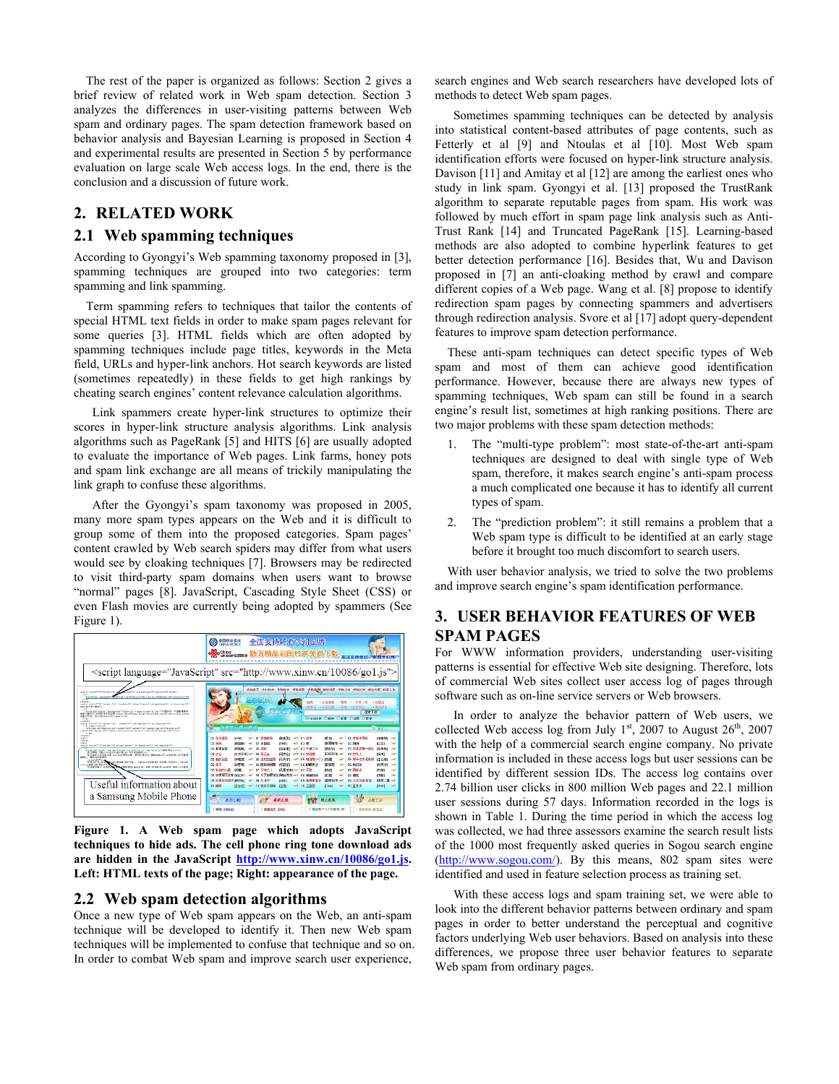The rest of the paper is organized as follows: Section 2 gives a brief review of related work in Web spam detection. Section 3 analyzes the differences in user-visiting patterns between Web spam and ordinary pages. The spam detection framework based on behavior analysis and Bayesian Learning is proposed in Section 4 and experimental results are presented in Section 5 by performance evaluation on large scale Web access logs. In the end, there is the conclusion and a discussion of future work.

# **2. RELATED WORK**

## **2.1 Web spamming techniques**

According to Gyongyi's Web spamming taxonomy proposed in [\[3\]](#page-6-2), spamming techniques are grouped into two categories: term spamming and link spamming.

Term spamming refers to techniques that tailor the contents of special HTML text fields in order to make spam pages relevant for some queries [\[3\]](#page-6-2). HTML fields which are often adopted by spamming techniques include page titles, keywords in the Meta field, URLs and hyper-link anchors. Hot search keywords are listed (sometimes repeatedly) in these fields to get high rankings by cheating search engines' content relevance calculation algorithms.

Link spammers create hyper-link structures to optimize their scores in hyper-link structure analysis algorithms. Link analysis algorithms such as PageRank [\[5\]](#page-6-4) and HITS [\[6\]](#page-6-5) are usually adopted to evaluate the importance of Web pages. Link farms, honey pots and spam link exchange are all means of trickily manipulating the link graph to confuse these algorithms.

After the Gyongyi's spam taxonomy was proposed in 2005, many more spam types appears on the Web and it is difficult to group some of them into the proposed categories. Spam pages' content crawled by Web search spiders may differ from what users would see by cloaking techniques [\[7\]](#page-7-0). Browsers may be redirected to visit third-party spam domains when users want to browse "normal" pages [\[8\].](#page-7-1) JavaScript, Cascading Style Sheet (CSS) or even Flash movies are currently being adopted by spammers (See Figure 1).



**Figure 1. A Web spam page which adopts JavaScript techniques to hide ads. The cell phone ring tone download ads are hidden in the JavaScript <http://www.xinw.cn/10086/go1.js>. Left: HTML texts of the page; Right: appearance of the page.** 

# **2.2 Web spam detection algorithms**

Once a new type of Web spam appears on the Web, an anti-spam technique will be developed to identify it. Then new Web spam techniques will be implemented to confuse that technique and so on. In order to combat Web spam and improve search user experience,

search engines and Web search researchers have developed lots of methods to detect Web spam pages.

Sometimes spamming techniques can be detected by analysis into statistical content-based attributes of page contents, such as Fetterly et al [\[9\]](#page-7-2) and Ntoulas et al [\[10\].](#page-7-3) Most Web spam identification efforts were focused on hyper-link structure analysis. Davison [\[11\]](#page-7-4) and Amitay et al [\[12\]](#page-7-5) are among the earliest ones who study in link spam. Gyongyi et al. [\[13\]](#page-7-6) proposed the TrustRank algorithm to separate reputable pages from spam. His work was followed by much effort in spam page link analysis such as Anti-Trust Rank [\[14\]](#page-7-7) and Truncated PageRank [\[15\].](#page-7-8) Learning-based methods are also adopted to combine hyperlink features to get better detection performance [\[16\]](#page-7-0). Besides that, Wu and Davison proposed in [\[7\]](#page-7-0) an anti-cloaking method by crawl and compare different copies of a Web page. Wang et al. [\[8\]](#page-7-1) propose to identify redirection spam pages by connecting spammers and advertisers through redirection analysis. Svore et al [\[17\]](#page-7-9) adopt query-dependent features to improve spam detection performance.

These anti-spam techniques can detect specific types of Web spam and most of them can achieve good identification performance. However, because there are always new types of spamming techniques, Web spam can still be found in a search engine's result list, sometimes at high ranking positions. There are two major problems with these spam detection methods:

- The "multi-type problem": most state-of-the-art anti-spam techniques are designed to deal with single type of Web spam, therefore, it makes search engine's anti-spam process a much complicated one because it has to identify all current types of spam.
- 2. The "prediction problem": it still remains a problem that a Web spam type is difficult to be identified at an early stage before it brought too much discomfort to search users.

With user behavior analysis, we tried to solve the two problems and improve search engine's spam identification performance.

# **3. USER BEHAVIOR FEATURES OF WEB SPAM PAGES**

For WWW information providers, understanding user-visiting patterns is essential for effective Web site designing. Therefore, lots of commercial Web sites collect user access log of pages through software such as on-line service servers or Web browsers.

In order to analyze the behavior pattern of Web users, we collected Web access log from July  $1<sup>st</sup>$ , 2007 to August 26<sup>th</sup>, 2007 with the help of a commercial search engine company. No private information is included in these access logs but user sessions can be identified by different session IDs. The access log contains over 2.74 billion user clicks in 800 million Web pages and 22.1 million user sessions during 57 days. Information recorded in the logs is shown in Table 1. During the time period in which the access log was collected, we had three assessors examine the search result lists of the 1000 most frequently asked queries in Sogou search engine ([http://www.sogou.com/\)](http://www.sogou.com/). By this means, 802 spam sites were identified and used in feature selection process as training set.

With these access logs and spam training set, we were able to look into the different behavior patterns between ordinary and spam pages in order to better understand the perceptual and cognitive factors underlying Web user behaviors. Based on analysis into these differences, we propose three user behavior features to separate Web spam from ordinary pages.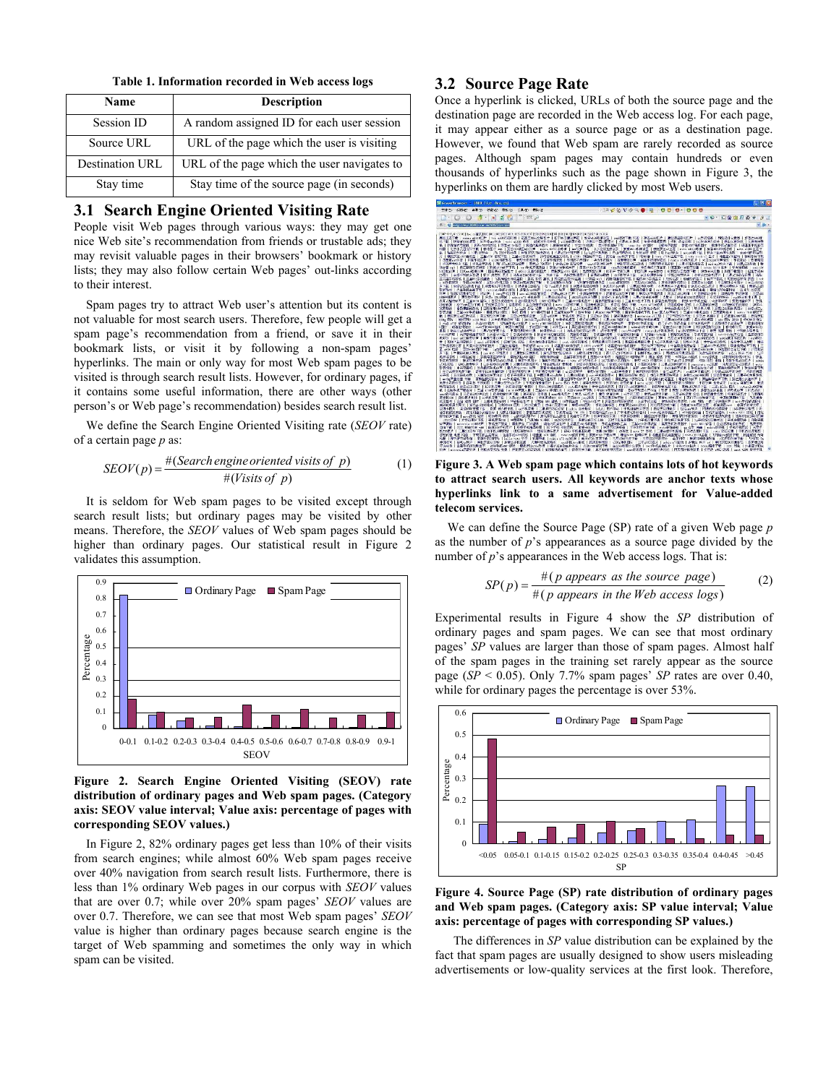**Table 1. Information recorded in Web access logs** 

| Name            | <b>Description</b>                          |  |
|-----------------|---------------------------------------------|--|
| Session ID      | A random assigned ID for each user session  |  |
| Source URL      | URL of the page which the user is visiting  |  |
| Destination URL | URL of the page which the user navigates to |  |
| Stay time       | Stay time of the source page (in seconds)   |  |

# **3.1 Search Engine Oriented Visiting Rate**

People visit Web pages through various ways: they may get one nice Web site's recommendation from friends or trustable ads; they may revisit valuable pages in their browsers' bookmark or history lists; they may also follow certain Web pages' out-links according to their interest.

Spam pages try to attract Web user's attention but its content is not valuable for most search users. Therefore, few people will get a spam page's recommendation from a friend, or save it in their bookmark lists, or visit it by following a non-spam pages' hyperlinks. The main or only way for most Web spam pages to be visited is through search result lists. However, for ordinary pages, if it contains some useful information, there are other ways (other person's or Web page's recommendation) besides search result list.

We define the Search Engine Oriented Visiting rate (*SEOV* rate) of a certain page *p* as:

$$
SEOV(p) = \frac{\#(Search \text{ engine oriented visits of } p)}{\#(Visits \text{ of } p)}
$$
(1)

It is seldom for Web spam pages to be visited except through search result lists; but ordinary pages may be visited by other means. Therefore, the *SEOV* values of Web spam pages should be higher than ordinary pages. Our statistical result in Figure 2 validates this assumption.



#### **Figure 2. Search Engine Oriented Visiting (SEOV) rate distribution of ordinary pages and Web spam pages. (Category axis: SEOV value interval; Value axis: percentage of pages with corresponding SEOV values.)**

In Figure 2, 82% ordinary pages get less than 10% of their visits from search engines; while almost 60% Web spam pages receive over 40% navigation from search result lists. Furthermore, there is less than 1% ordinary Web pages in our corpus with *SEOV* values that are over 0.7; while over 20% spam pages' *SEOV* values are over 0.7. Therefore, we can see that most Web spam pages' *SEOV* value is higher than ordinary pages because search engine is the target of Web spamming and sometimes the only way in which spam can be visited.

## **3.2 Source Page Rate**

Once a hyperlink is clicked, URLs of both the source page and the destination page are recorded in the Web access log. For each page, it may appear either as a source page or as a destination page. However, we found that Web spam are rarely recorded as source pages. Although spam pages may contain hundreds or even thousands of hyperlinks such as the page shown in Figure 3, the hyperlinks on them are hardly clicked by most Web users.



**Figure 3. A Web spam page which contains lots of hot keywords to attract search users. All keywords are anchor texts whose hyperlinks link to a same advertisement for Value-added telecom services.** 

We can define the Source Page (SP) rate of a given Web page *p* as the number of *p*'s appearances as a source page divided by the number of *p*'s appearances in the Web access logs. That is:

$$
SP(p) = \frac{\#(p \text{ appears as the source page})}{\#(p \text{ appears in the Web access logs})}
$$
 (2)

Experimental results in Figure 4 show the *SP* distribution of ordinary pages and spam pages. We can see that most ordinary pages' *SP* values are larger than those of spam pages. Almost half of the spam pages in the training set rarely appear as the source page (*SP* < 0.05). Only 7.7% spam pages' *SP* rates are over 0.40, while for ordinary pages the percentage is over 53%.



**Figure 4. Source Page (SP) rate distribution of ordinary pages and Web spam pages. (Category axis: SP value interval; Value axis: percentage of pages with corresponding SP values.)** 

The differences in *SP* value distribution can be explained by the fact that spam pages are usually designed to show users misleading advertisements or low-quality services at the first look. Therefore,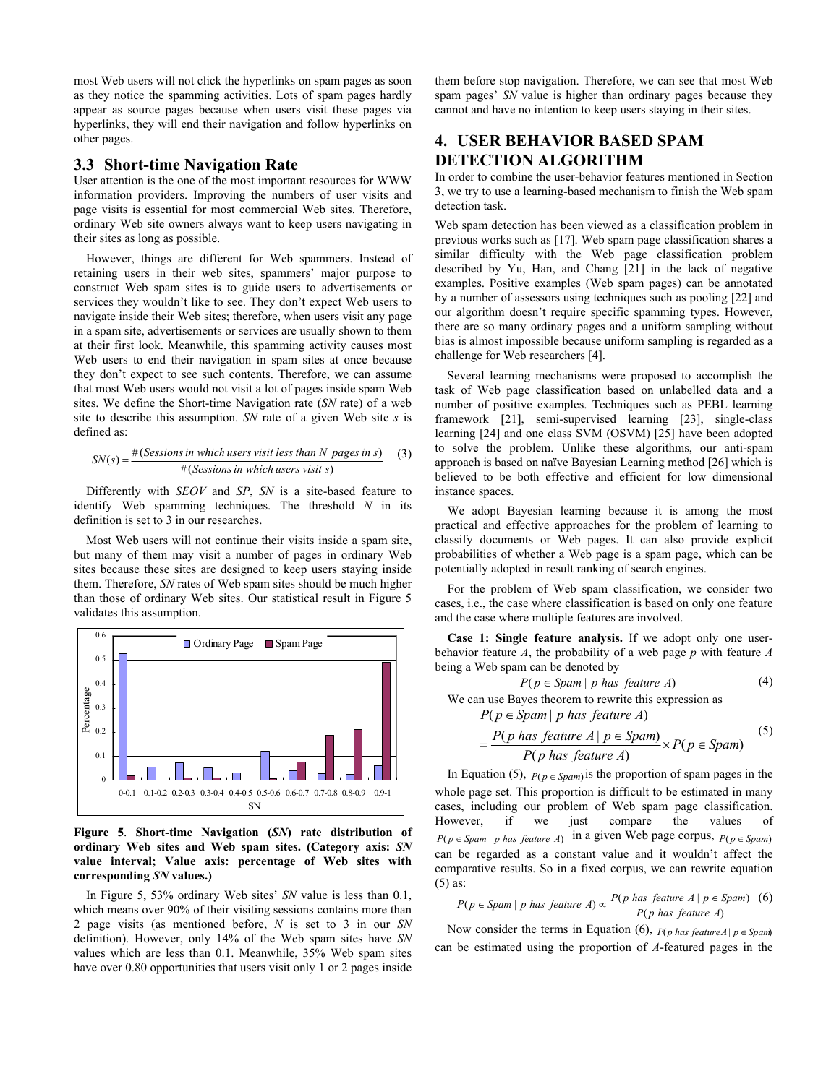most Web users will not click the hyperlinks on spam pages as soon as they notice the spamming activities. Lots of spam pages hardly appear as source pages because when users visit these pages via hyperlinks, they will end their navigation and follow hyperlinks on other pages.

## **3.3 Short-time Navigation Rate**

User attention is the one of the most important resources for WWW information providers. Improving the numbers of user visits and page visits is essential for most commercial Web sites. Therefore, ordinary Web site owners always want to keep users navigating in their sites as long as possible.

However, things are different for Web spammers. Instead of retaining users in their web sites, spammers' major purpose to construct Web spam sites is to guide users to advertisements or services they wouldn't like to see. They don't expect Web users to navigate inside their Web sites; therefore, when users visit any page in a spam site, advertisements or services are usually shown to them at their first look. Meanwhile, this spamming activity causes most Web users to end their navigation in spam sites at once because they don't expect to see such contents. Therefore, we can assume that most Web users would not visit a lot of pages inside spam Web sites. We define the Short-time Navigation rate (*SN* rate) of a web site to describe this assumption. *SN* rate of a given Web site *s* is defined as:

$$
SN(s) = \frac{\#(Sessions in which users visit less than N pages in s)}{\#(Sessions in which users visit s)}
$$
(3)

Differently with *SEOV* and *SP*, *SN* is a site-based feature to identify Web spamming techniques. The threshold *N* in its definition is set to 3 in our researches.

Most Web users will not continue their visits inside a spam site, but many of them may visit a number of pages in ordinary Web sites because these sites are designed to keep users staying inside them. Therefore, *SN* rates of Web spam sites should be much higher than those of ordinary Web sites. Our statistical result in Figure 5 validates this assumption.



**Figure 5**. **Short-time Navigation (***SN***) rate distribution of ordinary Web sites and Web spam sites. (Category axis:** *SN* **value interval; Value axis: percentage of Web sites with corresponding** *SN* **values.)**

In Figure 5, 53% ordinary Web sites' *SN* value is less than 0.1, which means over 90% of their visiting sessions contains more than 2 page visits (as mentioned before, *N* is set to 3 in our *SN*  definition). However, only 14% of the Web spam sites have *SN*  values which are less than 0.1. Meanwhile, 35% Web spam sites have over 0.80 opportunities that users visit only 1 or 2 pages inside

them before stop navigation. Therefore, we can see that most Web spam pages' *SN* value is higher than ordinary pages because they cannot and have no intention to keep users staying in their sites.

# **4. USER BEHAVIOR BASED SPAM DETECTION ALGORITHM**

In order to combine the user-behavior features mentioned in Section 3, we try to use a learning-based mechanism to finish the Web spam detection task.

Web spam detection has been viewed as a classification problem in previous works such as [\[17\].](#page-7-9) Web spam page classification shares a similar difficulty with the Web page classification problem described by Yu, Han, and Chang [\[21\]](#page-7-10) in the lack of negative examples. Positive examples (Web spam pages) can be annotated by a number of assessors using techniques such as pooling [\[22\]](#page-7-11) and our algorithm doesn't require specific spamming types. However, there are so many ordinary pages and a uniform sampling without bias is almost impossible because uniform sampling is regarded as a challenge for Web researchers [\[4\].](#page-6-3)

Several learning mechanisms were proposed to accomplish the task of Web page classification based on unlabelled data and a number of positive examples. Techniques such as PEBL learning framework [\[21\],](#page-7-10) semi-supervised learning [\[23\]](#page-7-12), single-class learning [\[24\]](#page-7-13) and one class SVM (OSVM) [\[25\]](#page-7-14) have been adopted to solve the problem. Unlike these algorithms, our anti-spam approach is based on naïve Bayesian Learning method [\[26\]](#page-7-15) which is believed to be both effective and efficient for low dimensional instance spaces.

We adopt Bayesian learning because it is among the most practical and effective approaches for the problem of learning to classify documents or Web pages. It can also provide explicit probabilities of whether a Web page is a spam page, which can be potentially adopted in result ranking of search engines.

For the problem of Web spam classification, we consider two cases, i.e., the case where classification is based on only one feature and the case where multiple features are involved.

**Case 1: Single feature analysis.** If we adopt only one userbehavior feature *A*, the probability of a web page *p* with feature *A* being a Web spam can be denoted by

$$
P(p \in \text{Span} \mid p \text{ has feature } A) \tag{4}
$$

We can use Bayes theorem to rewrite this expression as  $P(p \in \text{Span} | p \text{ has feature } A)$ 

$$
= \frac{P(p \text{ has feature } A \mid p \in \text{Spam})}{P(p \text{ has feature } A)} \times P(p \in \text{Spam}) \tag{5}
$$

In Equation (5),  $P(p \in Spam)$  is the proportion of spam pages in the whole page set. This proportion is difficult to be estimated in many cases, including our problem of Web spam page classification. However, if we just compare the values of  $P(p \in Spam \mid p \text{ has feature } A)$  in a given Web page corpus,  $P(p \in Spam)$ can be regarded as a constant value and it wouldn't affect the comparative results. So in a fixed corpus, we can rewrite equation (5) as:

$$
P(p \in \text{Span} \mid p \text{ has feature } A) \propto \frac{P(p \text{ has feature } A \mid p \in \text{Span})}{P(p \text{ has feature } A)} \tag{6}
$$

Now consider the terms in Equation (6),  $P(p \text{ has feature } A | p \in \text{Span})$ can be estimated using the proportion of *A*-featured pages in the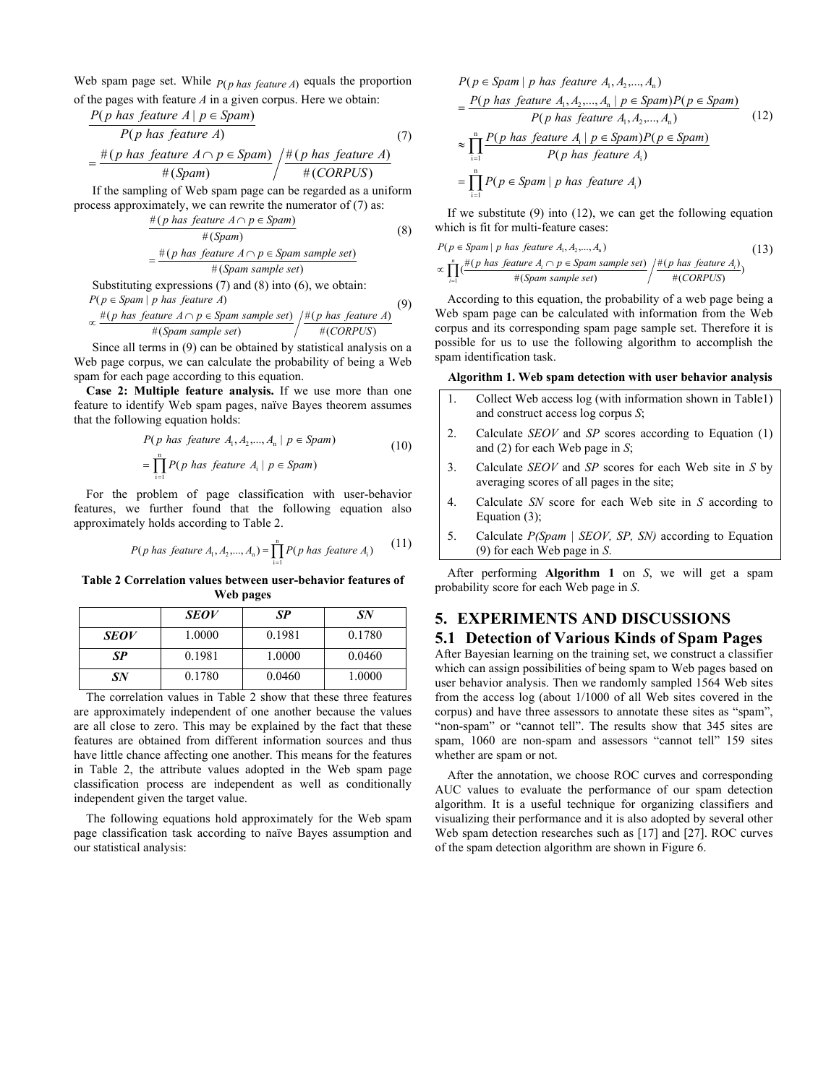Web spam page set. While  $P(p \text{ has feature } A)$  equals the proportion of the pages with feature *A* in a given corpus. Here we obtain:

$$
\frac{P(p \text{ has feature } A \mid p \in Spam)}{P(p \text{ has feature } A)}
$$
\n
$$
= \frac{\#(p \text{ has feature } A \cap p \in Spam)}{\#(Spam)} / \frac{\#(p \text{ has feature } A)}{\#(CORPUS)}
$$
\n(7)

If the sampling of Web spam page can be regarded as a uniform process approximately, we can rewrite the numerator of (7) as:

$$
\frac{\#(p \text{ has feature } A \cap p \in \text{Spam})}{\#(\text{Spam})}
$$
\n
$$
= \frac{\#(p \text{ has feature } A \cap p \in \text{Spam sample set})}{\#(\text{Spam sample set})}
$$
\n
$$
(8)
$$

Substituting expressions (7) and (8) into (6), we obtain:  
\n
$$
P(p \in \text{Span} | p \text{ has feature } A)
$$
  
\n $\#(p \text{ has feature } A \cap p \in \text{Span sample set}) / \#(p \text{ has feature } A)$  (9)

$$
\propto \frac{\#(p \text{ has feature } A \cap p \in \text{Spam sample set})}{\#(\text{Spam sample set})} / \frac{\#(p \text{ has feature } A)}{\#(\text{CORPUS})}
$$

Since all terms in (9) can be obtained by statistical analysis on a Web page corpus, we can calculate the probability of being a Web spam for each page according to this equation.

**Case 2: Multiple feature analysis.** If we use more than one feature to identify Web spam pages, naïve Bayes theorem assumes that the following equation holds:

$$
P(p \text{ has feature } A_1, A_2, \dots, A_n \mid p \in \text{Spam})
$$
\n
$$
= \prod_{i=1}^n P(p \text{ has feature } A_i \mid p \in \text{Spam})
$$
\n
$$
(10)
$$

For the problem of page classification with user-behavior features, we further found that the following equation also approximately holds according to Table 2.

$$
P(p \text{ has feature } A_1, A_2, \dots, A_n) = \prod_{i=1}^n P(p \text{ has feature } A_i)
$$
 (11)

**Table 2 Correlation values between user-behavior features of Web pages** 

|             | <b>SEOV</b> | SP     | SN     |
|-------------|-------------|--------|--------|
| <b>SEOV</b> | 1.0000      | 0.1981 | 0.1780 |
| SP          | 0.1981      | 1.0000 | 0.0460 |
| SN          | 0.1780      | 0.0460 | 1.0000 |

The correlation values in Table 2 show that these three features are approximately independent of one another because the values are all close to zero. This may be explained by the fact that these features are obtained from different information sources and thus have little chance affecting one another. This means for the features in Table 2, the attribute values adopted in the Web spam page classification process are independent as well as conditionally independent given the target value.

The following equations hold approximately for the Web spam page classification task according to naïve Bayes assumption and our statistical analysis:

$$
P(p \in \text{Spam} \mid p \text{ has feature } A_1, A_2, \dots, A_n)
$$
\n
$$
= \frac{P(p \text{ has feature } A_1, A_2, \dots, A_n \mid p \in \text{Spam}) P(p \in \text{Spam})}{P(p \text{ has feature } A_1, A_2, \dots, A_n)} \tag{12}
$$
\n
$$
\approx \prod_{i=1}^n \frac{P(p \text{ has feature } A_i \mid p \in \text{Spam}) P(p \in \text{Spam})}{P(p \text{ has feature } A_i)}
$$
\n
$$
= \prod_{i=1}^n P(p \in \text{Spam} \mid p \text{ has feature } A_i)
$$

If we substitute (9) into (12), we can get the following equation which is fit for multi-feature cases:

$$
P(p \in \text{Span} \mid p \text{ has feature } A_1, A_2, \dots, A_n)
$$
\n
$$
\propto \prod_{i=1}^{n} \left( \frac{\#(p \text{ has feature } A_i \cap p \in \text{Span sample set})}{\#(\text{Span sample set})} \right) \neq \frac{\#(p \text{ has feature } A_i)}{\#(\text{CORPUS})}
$$
\n(13)

According to this equation, the probability of a web page being a Web spam page can be calculated with information from the Web corpus and its corresponding spam page sample set. Therefore it is possible for us to use the following algorithm to accomplish the spam identification task.

#### **Algorithm 1. Web spam detection with user behavior analysis**

- 1. Collect Web access log (with information shown in Table1) and construct access log corpus *S*; 2. Calculate *SEOV* and *SP* scores according to Equation (1) and (2) for each Web page in *S*;
- 3. Calculate *SEOV* and *SP* scores for each Web site in *S* by averaging scores of all pages in the site;
- 4. Calculate *SN* score for each Web site in *S* according to Equation (3);
- 5. Calculate *P(Spam | SEOV, SP, SN)* according to Equation (9) for each Web page in *S*.

After performing **Algorithm 1** on *S*, we will get a spam probability score for each Web page in *S*.

# **5. EXPERIMENTS AND DISCUSSIONS**

# **5.1 Detection of Various Kinds of Spam Pages**

After Bayesian learning on the training set, we construct a classifier which can assign possibilities of being spam to Web pages based on user behavior analysis. Then we randomly sampled 1564 Web sites from the access log (about 1/1000 of all Web sites covered in the corpus) and have three assessors to annotate these sites as "spam", "non-spam" or "cannot tell". The results show that 345 sites are spam, 1060 are non-spam and assessors "cannot tell" 159 sites whether are spam or not.

After the annotation, we choose ROC curves and corresponding AUC values to evaluate the performance of our spam detection algorithm. It is a useful technique for organizing classifiers and visualizing their performance and it is also adopted by several other Web spam detection researches such as [\[17\]](#page-7-9) and [\[27\]](#page-7-16). ROC curves of the spam detection algorithm are shown in Figure 6.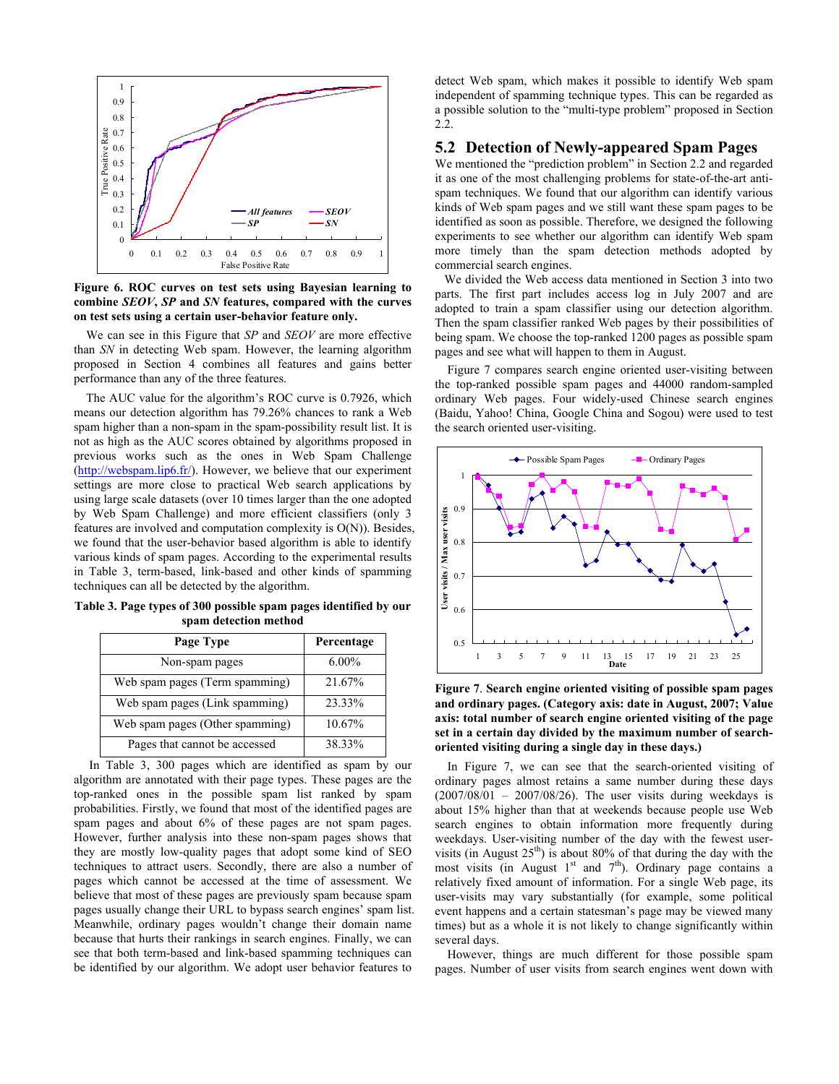

**Figure 6. ROC curves on test sets using Bayesian learning to combine** *SEOV***,** *SP* **and** *SN* **features, compared with the curves on test sets using a certain user-behavior feature only.** 

We can see in this Figure that *SP* and *SEOV* are more effective than *SN* in detecting Web spam. However, the learning algorithm proposed in Section 4 combines all features and gains better performance than any of the three features.

The AUC value for the algorithm's ROC curve is 0.7926, which means our detection algorithm has 79.26% chances to rank a Web spam higher than a non-spam in the spam-possibility result list. It is not as high as the AUC scores obtained by algorithms proposed in previous works such as the ones in Web Spam Challenge ([http://webspam.lip6.fr/\)](http://webspam.lip6.fr/). However, we believe that our experiment settings are more close to practical Web search applications by using large scale datasets (over 10 times larger than the one adopted by Web Spam Challenge) and more efficient classifiers (only 3 features are involved and computation complexity is O(N)). Besides, we found that the user-behavior based algorithm is able to identify various kinds of spam pages. According to the experimental results in Table 3, term-based, link-based and other kinds of spamming techniques can all be detected by the algorithm.

**Table 3. Page types of 300 possible spam pages identified by our spam detection method** 

| Page Type                       | Percentage |
|---------------------------------|------------|
| Non-spam pages                  | $6.00\%$   |
| Web spam pages (Term spamming)  | 21.67%     |
| Web spam pages (Link spamming)  | 23.33%     |
| Web spam pages (Other spamming) | 10.67%     |
| Pages that cannot be accessed   | 38.33%     |

 In Table 3, 300 pages which are identified as spam by our algorithm are annotated with their page types. These pages are the top-ranked ones in the possible spam list ranked by spam probabilities. Firstly, we found that most of the identified pages are spam pages and about 6% of these pages are not spam pages. However, further analysis into these non-spam pages shows that they are mostly low-quality pages that adopt some kind of SEO techniques to attract users. Secondly, there are also a number of pages which cannot be accessed at the time of assessment. We believe that most of these pages are previously spam because spam pages usually change their URL to bypass search engines' spam list. Meanwhile, ordinary pages wouldn't change their domain name because that hurts their rankings in search engines. Finally, we can see that both term-based and link-based spamming techniques can be identified by our algorithm. We adopt user behavior features to

detect Web spam, which makes it possible to identify Web spam independent of spamming technique types. This can be regarded as a possible solution to the "multi-type problem" proposed in Section 2.2.

#### **5.2 Detection of Newly-appeared Spam Pages**

We mentioned the "prediction problem" in Section 2.2 and regarded it as one of the most challenging problems for state-of-the-art antispam techniques. We found that our algorithm can identify various kinds of Web spam pages and we still want these spam pages to be identified as soon as possible. Therefore, we designed the following experiments to see whether our algorithm can identify Web spam more timely than the spam detection methods adopted by commercial search engines.

 We divided the Web access data mentioned in Section 3 into two parts. The first part includes access log in July 2007 and are adopted to train a spam classifier using our detection algorithm. Then the spam classifier ranked Web pages by their possibilities of being spam. We choose the top-ranked 1200 pages as possible spam pages and see what will happen to them in August.

Figure 7 compares search engine oriented user-visiting between the top-ranked possible spam pages and 44000 random-sampled ordinary Web pages. Four widely-used Chinese search engines (Baidu, Yahoo! China, Google China and Sogou) were used to test the search oriented user-visiting.



**Figure 7**. **Search engine oriented visiting of possible spam pages and ordinary pages. (Category axis: date in August, 2007; Value axis: total number of search engine oriented visiting of the page set in a certain day divided by the maximum number of searchoriented visiting during a single day in these days.)**

In Figure 7, we can see that the search-oriented visiting of ordinary pages almost retains a same number during these days  $(2007/08/01 - 2007/08/26)$ . The user visits during weekdays is about 15% higher than that at weekends because people use Web search engines to obtain information more frequently during weekdays. User-visiting number of the day with the fewest uservisits (in August  $25<sup>th</sup>$ ) is about 80% of that during the day with the most visits (in August  $1<sup>st</sup>$  and  $7<sup>th</sup>$ ). Ordinary page contains a relatively fixed amount of information. For a single Web page, its user-visits may vary substantially (for example, some political event happens and a certain statesman's page may be viewed many times) but as a whole it is not likely to change significantly within several days.

However, things are much different for those possible spam pages. Number of user visits from search engines went down with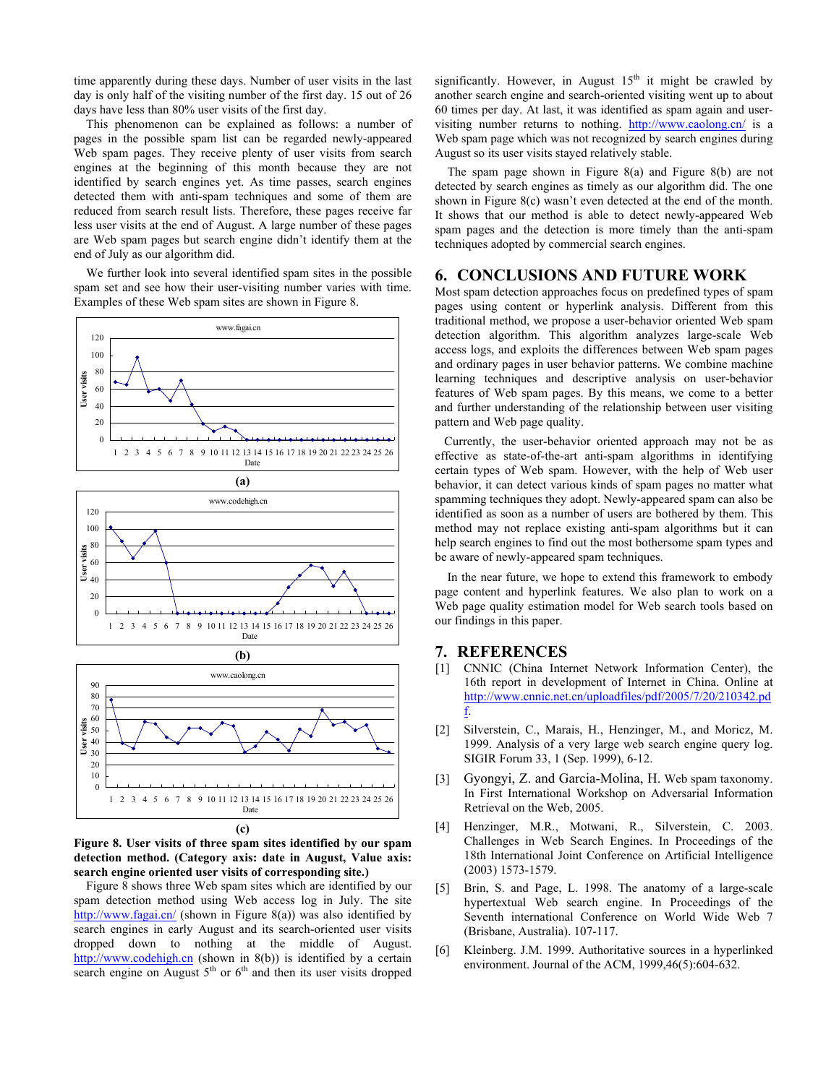time apparently during these days. Number of user visits in the last day is only half of the visiting number of the first day. 15 out of 26 days have less than 80% user visits of the first day.

This phenomenon can be explained as follows: a number of pages in the possible spam list can be regarded newly-appeared Web spam pages. They receive plenty of user visits from search engines at the beginning of this month because they are not identified by search engines yet. As time passes, search engines detected them with anti-spam techniques and some of them are reduced from search result lists. Therefore, these pages receive far less user visits at the end of August. A large number of these pages are Web spam pages but search engine didn't identify them at the end of July as our algorithm did.

We further look into several identified spam sites in the possible spam set and see how their user-visiting number varies with time. Examples of these Web spam sites are shown in Figure 8.



<span id="page-6-3"></span><span id="page-6-2"></span><span id="page-6-1"></span><span id="page-6-0"></span>**Figure 8. User visits of three spam sites identified by our spam detection method. (Category axis: date in August, Value axis: search engine oriented user visits of corresponding site.)** 

<span id="page-6-5"></span><span id="page-6-4"></span>Figure 8 shows three Web spam sites which are identified by our spam detection method using Web access log in July. The site <http://www.fagai.cn/>(shown in Figure 8(a)) was also identified by search engines in early August and its search-oriented user visits dropped down to nothing at the middle of August. [http://www.codehigh.cn](http://www.codehigh.cn/) (shown in 8(b)) is identified by a certain search engine on August  $5<sup>th</sup>$  or  $6<sup>th</sup>$  and then its user visits dropped significantly. However, in August  $15<sup>th</sup>$  it might be crawled by another search engine and search-oriented visiting went up to about 60 times per day. At last, it was identified as spam again and uservisiting number returns to nothing. <http://www.caolong.cn/> is a Web spam page which was not recognized by search engines during August so its user visits stayed relatively stable.

The spam page shown in Figure 8(a) and Figure 8(b) are not detected by search engines as timely as our algorithm did. The one shown in Figure 8(c) wasn't even detected at the end of the month. It shows that our method is able to detect newly-appeared Web spam pages and the detection is more timely than the anti-spam techniques adopted by commercial search engines.

# **6. CONCLUSIONS AND FUTURE WORK**

Most spam detection approaches focus on predefined types of spam pages using content or hyperlink analysis. Different from this traditional method, we propose a user-behavior oriented Web spam detection algorithm. This algorithm analyzes large-scale Web access logs, and exploits the differences between Web spam pages and ordinary pages in user behavior patterns. We combine machine learning techniques and descriptive analysis on user-behavior features of Web spam pages. By this means, we come to a better and further understanding of the relationship between user visiting pattern and Web page quality.

 Currently, the user-behavior oriented approach may not be as effective as state-of-the-art anti-spam algorithms in identifying certain types of Web spam. However, with the help of Web user behavior, it can detect various kinds of spam pages no matter what spamming techniques they adopt. Newly-appeared spam can also be identified as soon as a number of users are bothered by them. This method may not replace existing anti-spam algorithms but it can help search engines to find out the most bothersome spam types and be aware of newly-appeared spam techniques.

In the near future, we hope to extend this framework to embody page content and hyperlink features. We also plan to work on a Web page quality estimation model for Web search tools based on our findings in this paper.

## **7. REFERENCES**

- [1] CNNIC (China Internet Network Information Center), the 16th report in development of Internet in China. Online at [http://www.cnnic.net.cn/uploadfiles/pdf/2005/7/20/210342.pd](http://www.cnnic.net.cn/uploadfiles/pdf/2005/7/20/210342.pdf) [f.](http://www.cnnic.net.cn/uploadfiles/pdf/2005/7/20/210342.pdf)
- [2] Silverstein, C., Marais, H., Henzinger, M., and Moricz, M. 1999. Analysis of a very large web search engine query log. SIGIR Forum 33, 1 (Sep. 1999), 6-12.
- [3] Gyongyi, Z. and Garcia-Molina, H. Web spam taxonomy. In First International Workshop on Adversarial Information Retrieval on the Web, 2005.
- [4] Henzinger, M.R., Motwani, R., Silverstein, C. 2003. Challenges in Web Search Engines. In Proceedings of the 18th International Joint Conference on Artificial Intelligence (2003) 1573-1579.
- [5] Brin, S. and Page, L. 1998. The anatomy of a large-scale hypertextual Web search engine. In Proceedings of the Seventh international Conference on World Wide Web 7 (Brisbane, Australia). 107-117.
- [6] Kleinberg. J.M. 1999. Authoritative sources in a hyperlinked environment. Journal of the ACM, 1999,46(5):604-632.